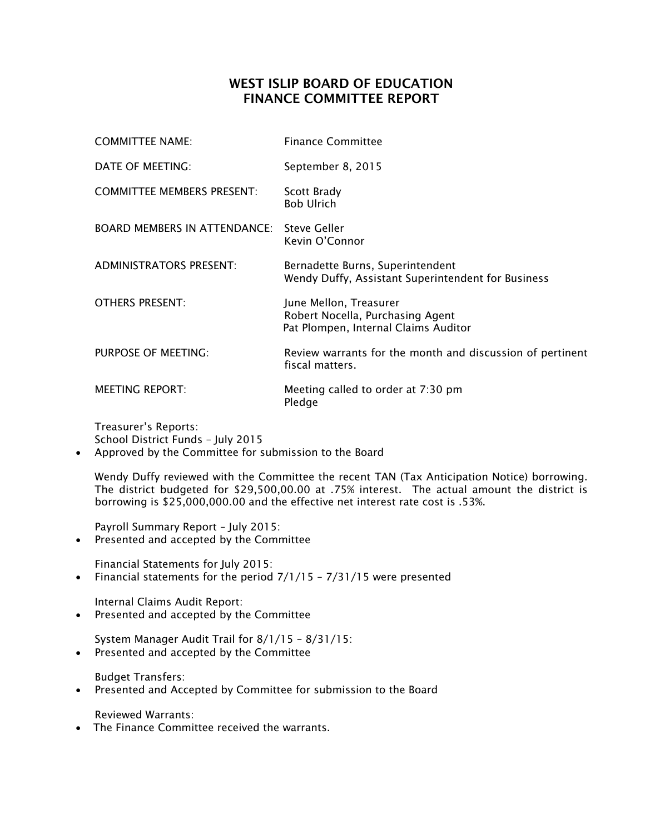## WEST ISLIP BOARD OF EDUCATION FINANCE COMMITTEE REPORT

| <b>COMMITTEE NAME:</b>                           | <b>Finance Committee</b>                                                                           |
|--------------------------------------------------|----------------------------------------------------------------------------------------------------|
| DATE OF MEETING:                                 | September 8, 2015                                                                                  |
| <b>COMMITTEE MEMBERS PRESENT:</b>                | Scott Brady<br><b>Bob Ulrich</b>                                                                   |
| <b>BOARD MEMBERS IN ATTENDANCE:</b> Steve Geller | Kevin O'Connor                                                                                     |
| <b>ADMINISTRATORS PRESENT:</b>                   | Bernadette Burns, Superintendent<br>Wendy Duffy, Assistant Superintendent for Business             |
| <b>OTHERS PRESENT:</b>                           | June Mellon, Treasurer<br>Robert Nocella, Purchasing Agent<br>Pat Plompen, Internal Claims Auditor |
| PURPOSE OF MEETING:                              | Review warrants for the month and discussion of pertinent<br>fiscal matters.                       |
| <b>MEETING REPORT:</b>                           | Meeting called to order at 7:30 pm<br>Pledge                                                       |

Treasurer's Reports: School District Funds – July 2015

Approved by the Committee for submission to the Board

Wendy Duffy reviewed with the Committee the recent TAN (Tax Anticipation Notice) borrowing. The district budgeted for \$29,500,00.00 at .75% interest. The actual amount the district is borrowing is \$25,000,000.00 and the effective net interest rate cost is .53%.

Payroll Summary Report – July 2015:

• Presented and accepted by the Committee

Financial Statements for July 2015:

• Financial statements for the period  $7/1/15 - 7/31/15$  were presented

Internal Claims Audit Report:

Presented and accepted by the Committee

System Manager Audit Trail for 8/1/15 – 8/31/15:

Presented and accepted by the Committee

Budget Transfers:

Presented and Accepted by Committee for submission to the Board

Reviewed Warrants:

• The Finance Committee received the warrants.